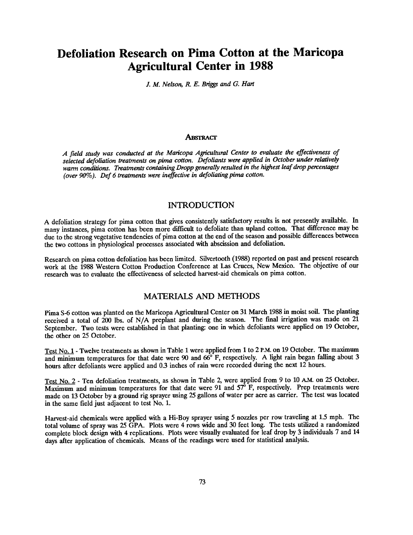# Defoliation Research on Pima Cotton at the Maricopa Agricultural Center in 1988

J. M. Nelson, R. E. Briggs and G. Hart

#### **ABSTRACT**

A field study was conducted at the Maricopa Agricultural Center to evaluate the effectiveness of selected defoliation treatments on pima cotton. Defoliants were applied in October under relatively warm conditions. Treatments containing Dropp generally resulted in the highest leaf drop percentages (over 90%). Def 6 treatments were ineffective in defoliating pima cotton.

## INTRODUCTION

A defoliation strategy for pima cotton that gives consistently satisfactory results is not presently available. In many instances, pima cotton has been more difficult to defoliate than upland cotton. That difference may be due to the strong vegetative tendencies of pima cotton at the end of the season and possible differences between the two cottons in physiological processes associated with abscission and defoliation.

Research on pima cotton defoliation has been limited. Silvertooth (1988) reported on past and present research work at the 1988 Western Cotton Production Conference at Las Cruces, New Mexico. The objective of our research was to evaluate the effectiveness of selected harvest -aid chemicals on pima cotton.

### MATERIALS AND METHODS

Pima S-6 cotton was planted on the Maricopa Agricultural Center on 31 March 1988 in moist soil. The planting received a total of 200 lbs. of N/A preplant and during the season. The fmal irrigation was made on 21 September. Two tests were established in that planting: one in which defoliants were applied on 19 October, the other on 25 October.

Test No. 1 - Twelve treatments as shown in Table 1 were applied from 1 to 2 P.M. on 19 October. The maximum and minimum temperatures for that date were 90 and 66°F, respectively. A light rain began falling about 3 hours after defoliants were applied and 0.3 inches of rain were recorded during the next 12 hours.

Test No. 2 - Ten defoliation treatments, as shown in Table 2, were applied from 9 to 10 A.M. on 25 October.  $\overline{\text{Maximum}}$  and minimum temperatures for that date were 91 and 57 $\degree$  F, respectively. Prep treatments were made on 13 October by a ground rig sprayer using 25 gallons of water per acre as carrier. The test was located in the same field just adjacent to test No. 1.

Harvest-aid chemicals were applied with a Hi-Boy sprayer using 5 nozzles per row traveling at 1.5 mph. The total volume of spray was 25 GPA. Plots were 4 rows wide and 30 feet long. The tests utilized a randomized complete block design with 4 replications. Plots were visually evaluated for leaf drop by 3 individuals 7 and 14 days after application of chemicals. Means of the readings were used for statistical analysis.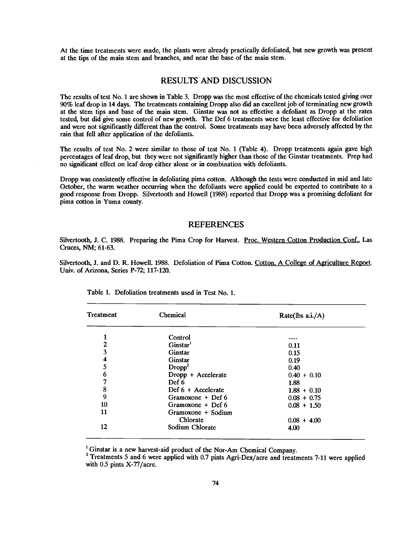At the time treatments were made, the plants were already practically defoliated, but new growth was present at the tips of the main stem and branches, and near the base of the main stem.

### RESULTS AND DISCUSSION

The results of test No. 1 are shown in Table 3. Dropp was the most effective of the chemicals tested giving over 90% leaf drop in 14 days. The treatments containing Dropp also did an excellent job of terminating new growth at the stem tips and base of the main stem. Ginstar was not as effective a defoliant as Dropp at the rates tested, but did give some control of new growth. The Def 6 treatments were the least effective for defoliation and were not significantly different than the control. Some treatments may have been adversely affected by the rain that fell after application of the defoliants.

The results of test No. 2 were similar to those of test No. 1 (Table 4). Dropp treatments again gave high percentages of leaf drop, but they were not significantly higher than those of the Ginstar treatments. Prep had no significant effect on leaf drop either alone or in combination with defoliants.

Dropp was consistently effective in defoliating pima cotton. Although the tests were conducted in mid and late October, the warm weather occurring when the defoliants were applied could be expected to contribute to a good response from Dropp. Silvertooth and Howell (1988) reported that Dropp was a promising defoliant for pima cotton in Yuma county.

#### REFERENCES

Silvertooth, J. C. 1988. Preparing the Pima Crop for Harvest. Proc. Western Cotton Production Conf., Las Cruces, NM; 61-63.

Silvertooth, J. and D. R. Howell. 1988. Defoliation of Pima Cotton. Cotton. A College of Agriculture Report. Univ. of Arizona, Series P-72; 117-120.

| Treatment               | Chemical             | Rate(lbs $a.i./A$ ) |  |  |
|-------------------------|----------------------|---------------------|--|--|
| 1                       | Control              |                     |  |  |
| $\mathbf{2}$            | Ginstar <sup>1</sup> | 0.11                |  |  |
| 3                       | Ginstar              | 0.15                |  |  |
| $\overline{\mathbf{4}}$ | Ginstar              | 0.19                |  |  |
| 5                       | Drop <sup>2</sup>    | 0.40                |  |  |
| 6                       | Dropp + Accelerate   | $0.40 + 0.10$       |  |  |
| 7                       | Def 6                | 1.88                |  |  |
| 8                       | Def $6 +$ Accelerate | $1.88 + 0.10$       |  |  |
| 9                       | Gramoxone $+$ Def 6  | $0.08 + 0.75$       |  |  |
| 10                      | Gramoxone + Def $6$  | $0.08 + 1.50$       |  |  |
| 11                      | Gramoxone + Sodium   |                     |  |  |
|                         | Chlorate             | $0.08 + 4.00$       |  |  |
| 12                      | Sodium Chlorate      | 4.00                |  |  |

Table 1. Defoliation treatments used in Test No. 1.

<sup>1</sup> Ginstar is a new harvest-aid product of the Nor-Am Chemical Company.

<sup>2</sup> Treatments 5 and 6 were applied with 0.7 pints Agri-Dex/acre and treatments 7-11 were applied with  $0.5$  pints  $X-77/$ acre.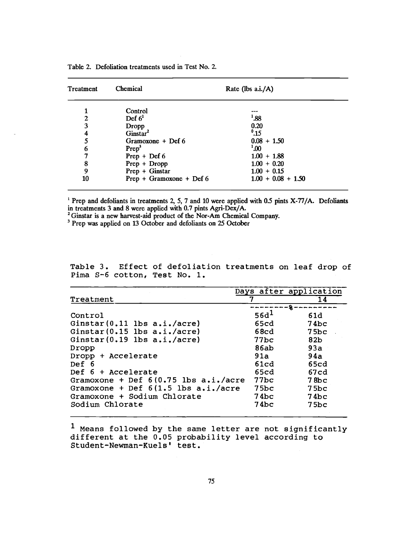| Treatment | Chemical                   | Rate (lbs $a.i./A$ ) |  |
|-----------|----------------------------|----------------------|--|
|           | Control                    |                      |  |
| 2         | Def $61$                   | $^{1}.88$            |  |
| 3         | Dropp                      | 0.20                 |  |
| 4         | Ginstar <sup>2</sup>       | $^{0}$ .15           |  |
| 5         | Gramoxone + Def $6$        | $0.08 + 1.50$        |  |
| 6         | Prep <sup>3</sup>          | $^{1.00}$            |  |
| 7         | $Prep + Def 6$             | $1.00 + 1.88$        |  |
| 8         | $Prep + Dropp$             | $1.00 + 0.20$        |  |
| 9         | $Prep + Ginstar$           | $1.00 + 0.15$        |  |
| 10        | $Prep + Gramoxone + Def 6$ | $1.00 + 0.08 + 1.50$ |  |

<sup>1</sup> Prep and defoliants in treatments 2, 5, 7 and 10 were applied with 0.5 pints X-77/A. Defoliants in treatments 3 and 8 were applied with 0.7 pints Agri-Dex/A.

<sup>2</sup> Ginstar is a new harvest-aid product of the Nor-Am Chemical Company.

<sup>3</sup> Prep was applied on 13 October and defoliants on 25 October

Table 3. Effect of defoliation treatments on leaf drop of Pima S-6 cotton, Test No. 1.

|                                          | Days after application |       |  |  |
|------------------------------------------|------------------------|-------|--|--|
| Treatment                                |                        | 14    |  |  |
|                                          |                        | $-8-$ |  |  |
| Control                                  | 56d <sup>1</sup>       | 61d   |  |  |
| Ginstar $(0.11$ lbs $a.i./acre$ )        | 65cd                   | 74bc  |  |  |
| Ginstar $(0.15$ lbs $a.i./acre$ )        | 68cd                   | 75bc  |  |  |
| Ginstar $(0.19$ lbs $a.i./acre$ )        | $77$ bc                | 82b   |  |  |
| Dropp                                    | 86ab                   | 93a   |  |  |
| Dropp + Accelerate                       | 91a                    | 94a   |  |  |
| Def 6                                    | 61cd                   | 65cd  |  |  |
| $Def 6 + Accelerate$                     | 65cd                   | 67cd  |  |  |
| Gramoxone + Def $6(0.75$ lbs $a.i./acre$ | 77bc                   | 78bc  |  |  |
| Gramoxone + Def $6(1.5$ lbs $a.i./acre$  | 75bc                   | 75bc  |  |  |
| Gramoxone + Sodium Chlorate              | 74bc                   | 74bc  |  |  |
| Sodium Chlorate                          | 74bc                   | 75bc  |  |  |
|                                          |                        |       |  |  |

i Means followed by the same letter are not significantly different at the 0.05 probability level according to Student -Newman- Kuels' test.